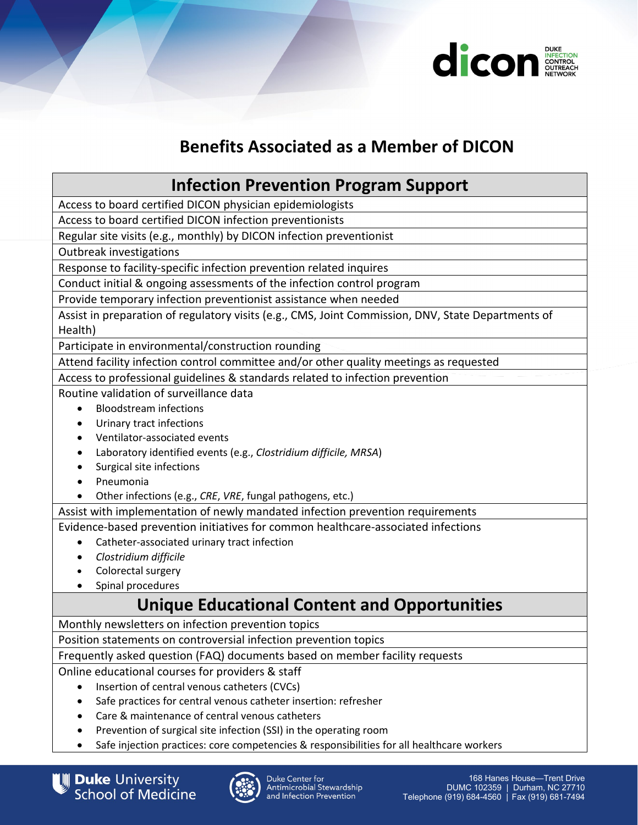

# **Benefits Associated as a Member of DICON**

### **Infection Prevention Program Support**

Access to board certified DICON physician epidemiologists

Access to board certified DICON infection preventionists

Regular site visits (e.g., monthly) by DICON infection preventionist

Outbreak investigations

Response to facility-specific infection prevention related inquires

Conduct initial & ongoing assessments of the infection control program

Provide temporary infection preventionist assistance when needed

Assist in preparation of regulatory visits (e.g., CMS, Joint Commission, DNV, State Departments of Health)

Participate in environmental/construction rounding

Attend facility infection control committee and/or other quality meetings as requested

Access to professional guidelines & standards related to infection prevention

Routine validation of surveillance data

- Bloodstream infections
- Urinary tract infections
- Ventilator-associated events
- Laboratory identified events (e.g., *Clostridium difficile, MRSA*)
- Surgical site infections
- Pneumonia

• Other infections (e.g., *CRE*, *VRE*, fungal pathogens, etc.)

Assist with implementation of newly mandated infection prevention requirements

Evidence-based prevention initiatives for common healthcare-associated infections

- Catheter-associated urinary tract infection
- *Clostridium difficile*
- Colorectal surgery
- Spinal procedures

## **Unique Educational Content and Opportunities**

Monthly newsletters on infection prevention topics

Position statements on controversial infection prevention topics

Frequently asked question (FAQ) documents based on member facility requests

Online educational courses for providers & staff

- Insertion of central venous catheters (CVCs)
- Safe practices for central venous catheter insertion: refresher
- Care & maintenance of central venous catheters
- Prevention of surgical site infection (SSI) in the operating room
- Safe injection practices: core competencies & responsibilities for all healthcare workers